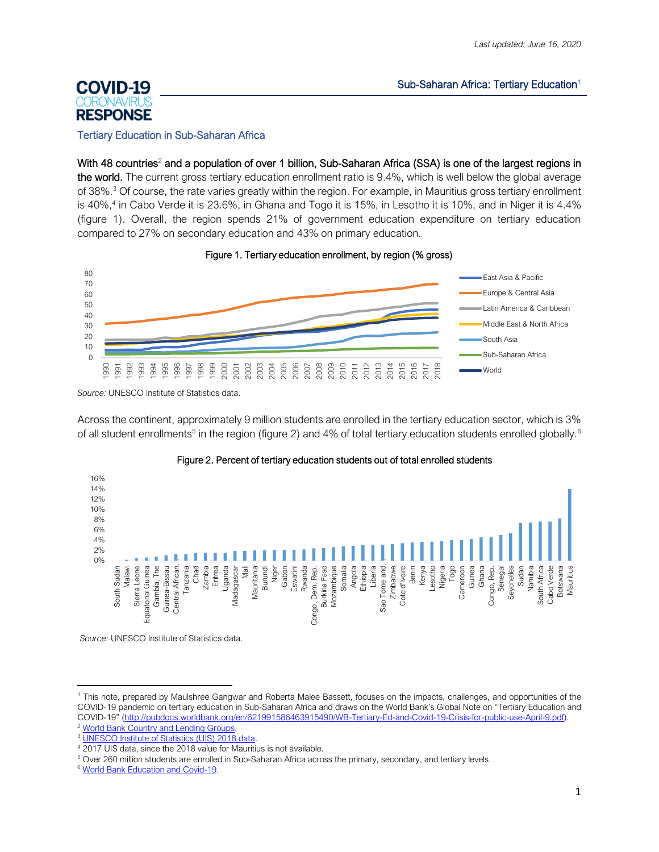#### Sub-Saharan Africa: Tertiary Education<sup>1</sup>

# **COVID-19 RESPONSE**

#### Tertiary Education in Sub-Saharan Africa

With 48 countries<sup>2</sup> and a population of over 1 billion, Sub-Saharan Africa (SSA) is one of the largest regions in the world. The current gross tertiary education enrollment ratio is 9.4%, which is well below the global average of 38%. <sup>3</sup> Of course, the rate varies greatly within the region. For example, in Mauritius gross tertiary enrollment is 40%, 4 in Cabo Verde it is 23.6%, in Ghana and Togo it is 15%, in Lesotho it is 10%, and in Niger it is 4.4% (figure 1). Overall, the region spends 21% of government education expenditure on tertiary education compared to 27% on secondary education and 43% on primary education.





*Source:* UNESCO Institute of Statistics data.

Across the continent, approximately 9 million students are enrolled in the tertiary education sector, which is 3% of all student enrollments<sup>5</sup> in the region (figure 2) and 4% of total tertiary education students enrolled globally.<sup>6</sup>



#### Figure 2. Percent of tertiary education students out of total enrolled students

*Source:* UNESCO Institute of Statistics data.

<sup>1</sup> This note, prepared by Maulshree Gangwar and Roberta Malee Bassett, focuses on the impacts, challenges, and opportunities of the COVID-19 pandemic on tertiary education in Sub-Saharan Africa and draws on the World Bank's Global Note on "Tertiary Education and COVID-19" ([http://pubdocs.worldbank.org/en/621991586463915490/WB-Tertiary-Ed-and-Covid-19-Crisis-for-public-use-April-9.pdf\)](http://pubdocs.worldbank.org/en/621991586463915490/WB-Tertiary-Ed-and-Covid-19-Crisis-for-public-use-April-9.pdf).

<sup>&</sup>lt;sup>2</sup> [World Bank Country and Lending Groups.](https://datahelpdesk.worldbank.org/knowledgebase/articles/906519-world-bank-country-and-lending-groups)

<sup>3</sup> [UNESCO Institute of Statistics \(UIS\) 2018 data.](http://data.uis.unesco.org/?queryid=142)

<sup>4</sup> 2017 UIS data, since the 2018 value for Mauritius is not available.

<sup>5</sup> Over 260 million students are enrolled in Sub-Saharan Africa across the primary, secondary, and tertiary levels.

<sup>6</sup> [World Bank Education and Covid-19.](https://www.worldbank.org/en/data/interactive/2020/03/24/world-bank-education-and-covid-19)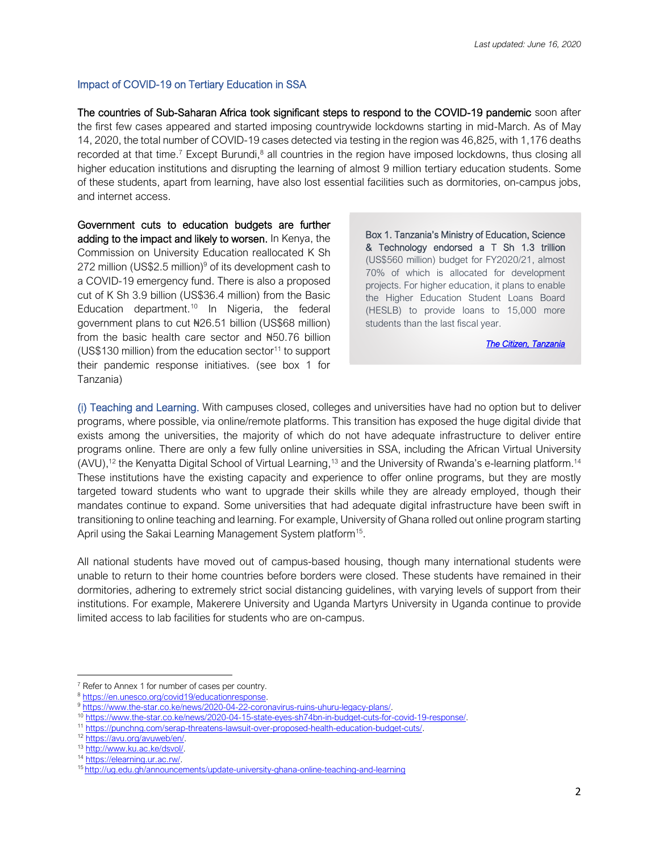## Impact of COVID-19 on Tertiary Education in SSA

The countries of Sub-Saharan Africa took significant steps to respond to the COVID-19 pandemic soon after the first few cases appeared and started imposing countrywide lockdowns starting in mid-March. As of May 14, 2020, the total number of COVID-19 cases detected via testing in the region was 46,825, with 1,176 deaths recorded at that time.<sup>7</sup> Except Burundi,<sup>8</sup> all countries in the region have imposed lockdowns, thus closing all higher education institutions and disrupting the learning of almost 9 million tertiary education students. Some of these students, apart from learning, have also lost essential facilities such as dormitories, on-campus jobs, and internet access.

Government cuts to education budgets are further adding to the impact and likely to worsen. In Kenya, the Commission on University Education reallocated K Sh 272 million (US\$2.5 million) $9$  of its development cash to a COVID-19 emergency fund. There is also a proposed cut of K Sh 3.9 billion (US\$36.4 million) from the Basic Education department.<sup>10</sup> In Nigeria, the federal government plans to cut ₦26.51 billion (US\$68 million) from the basic health care sector and ₦50.76 billion (US\$130 million) from the education sector<sup>11</sup> to support their pandemic response initiatives. (see box 1 for Tanzania)

Box 1. Tanzania's Ministry of Education, Science & Technology endorsed a T Sh 1.3 trillion (US\$560 million) budget for FY2020/21, almost 70% of which is allocated for development projects. For higher education, it plans to enable the Higher Education Student Loans Board (HESLB) to provide loans to 15,000 more students than the last fiscal year.

*[The Citizen, Tanzania](https://www.thecitizen.co.tz/news/How-Education-ministry-plans-to-expend-Sh1-3tr-in-2020-2021/1840340-5534026-221ubmz/index.html)* 

(i) Teaching and Learning. With campuses closed, colleges and universities have had no option but to deliver programs, where possible, via online/remote platforms. This transition has exposed the huge digital divide that exists among the universities, the majority of which do not have adequate infrastructure to deliver entire programs online. There are only a few fully online universities in SSA, including the African Virtual University (AVU),<sup>12</sup> the Kenyatta Digital School of Virtual Learning,<sup>13</sup> and the University of Rwanda's e-learning platform.<sup>14</sup> These institutions have the existing capacity and experience to offer online programs, but they are mostly targeted toward students who want to upgrade their skills while they are already employed, though their mandates continue to expand. Some universities that had adequate digital infrastructure have been swift in transitioning to online teaching and learning. For example, University of Ghana rolled out online program starting April using the Sakai Learning Management System platform<sup>15</sup>.

All national students have moved out of campus-based housing, though many international students were unable to return to their home countries before borders were closed. These students have remained in their dormitories, adhering to extremely strict social distancing guidelines, with varying levels of support from their institutions. For example, Makerere University and Uganda Martyrs University in Uganda continue to provide limited access to lab facilities for students who are on-campus.

<sup>&</sup>lt;sup>7</sup> Refer to Annex 1 for number of cases per country.

<sup>8</sup> [https://en.unesco.org/covid19/educationresponse.](https://en.unesco.org/covid19/educationresponse)

<sup>9</sup> [https://www.the-star.co.ke/news/2020-04-22-coronavirus-ruins-uhuru-legacy-plans/.](https://www.the-star.co.ke/news/2020-04-22-coronavirus-ruins-uhuru-legacy-plans/)

<sup>10</sup> [https://www.the-star.co.ke/news/2020-04-15-state-eyes-sh74bn-in-budget-cuts-for-covid-19-response/.](https://www.the-star.co.ke/news/2020-04-15-state-eyes-sh74bn-in-budget-cuts-for-covid-19-response/)

<sup>11</sup> [https://punchng.com/serap-threatens-lawsuit-over-proposed-health-education-budget-cuts/.](https://punchng.com/serap-threatens-lawsuit-over-proposed-health-education-budget-cuts/)

<sup>12</sup> [https://avu.org/avuweb/en/.](https://avu.org/avuweb/en/)

<sup>13</sup> [http://www.ku.ac.ke/dsvol/.](http://www.ku.ac.ke/dsvol/)

<sup>14</sup> [https://elearning.ur.ac.rw/.](https://elearning.ur.ac.rw/)

<sup>15</sup> http://ug.edu.gh/announcements/update-university-ghana-online-teaching-and-learning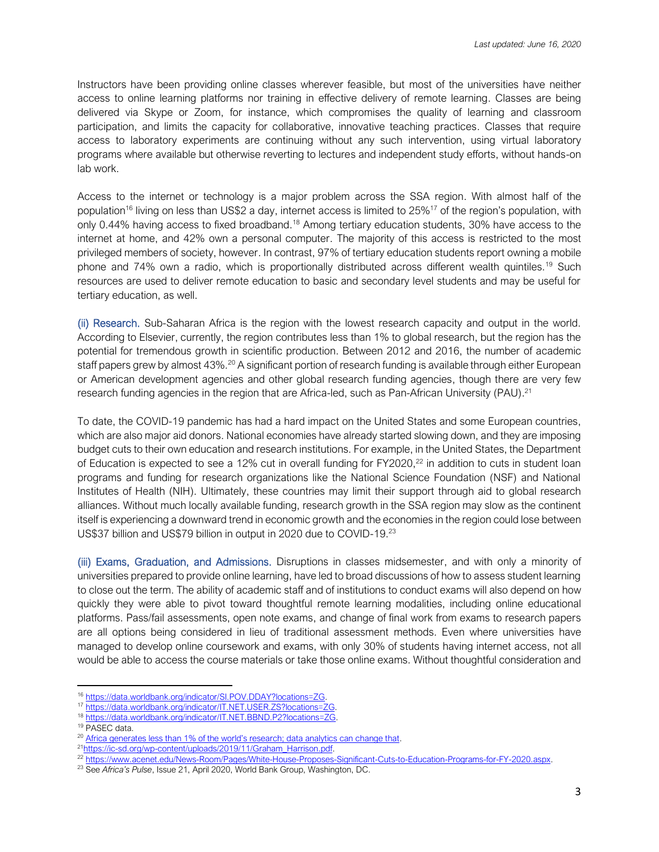Instructors have been providing online classes wherever feasible, but most of the universities have neither access to online learning platforms nor training in effective delivery of remote learning. Classes are being delivered via Skype or Zoom, for instance, which compromises the quality of learning and classroom participation, and limits the capacity for collaborative, innovative teaching practices. Classes that require access to laboratory experiments are continuing without any such intervention, using virtual laboratory programs where available but otherwise reverting to lectures and independent study efforts, without hands-on lab work.

Access to the internet or technology is a major problem across the SSA region. With almost half of the population<sup>16</sup> living on less than US\$2 a day, internet access is limited to  $25\%$ <sup>17</sup> of the region's population, with only 0.44% having access to fixed broadband.<sup>18</sup> Among tertiary education students, 30% have access to the internet at home, and 42% own a personal computer. The majority of this access is restricted to the most privileged members of society, however. In contrast, 97% of tertiary education students report owning a mobile phone and 74% own a radio, which is proportionally distributed across different wealth quintiles.<sup>19</sup> Such resources are used to deliver remote education to basic and secondary level students and may be useful for tertiary education, as well.

(ii) Research. Sub-Saharan Africa is the region with the lowest research capacity and output in the world. According to Elsevier, currently, the region contributes less than 1% to global research, but the region has the potential for tremendous growth in scientific production. Between 2012 and 2016, the number of academic staff papers grew by almost 43%.<sup>20</sup> A significant portion of research funding is available through either European or American development agencies and other global research funding agencies, though there are very few research funding agencies in the region that are Africa-led, such as Pan-African University (PAU).<sup>21</sup>

To date, the COVID-19 pandemic has had a hard impact on the United States and some European countries, which are also major aid donors. National economies have already started slowing down, and they are imposing budget cuts to their own education and research institutions. For example, in the United States, the Department of Education is expected to see a 12% cut in overall funding for FY2020,<sup>22</sup> in addition to cuts in student loan programs and funding for research organizations like the National Science Foundation (NSF) and National Institutes of Health (NIH). Ultimately, these countries may limit their support through aid to global research alliances. Without much locally available funding, research growth in the SSA region may slow as the continent itself is experiencing a downward trend in economic growth and the economies in the region could lose between US\$37 billion and US\$79 billion in output in 2020 due to COVID-19.<sup>23</sup>

(iii) Exams, Graduation, and Admissions. Disruptions in classes midsemester, and with only a minority of universities prepared to provide online learning, have led to broad discussions of how to assess student learning to close out the term. The ability of academic staff and of institutions to conduct exams will also depend on how quickly they were able to pivot toward thoughtful remote learning modalities, including online educational platforms. Pass/fail assessments, open note exams, and change of final work from exams to research papers are all options being considered in lieu of traditional assessment methods. Even where universities have managed to develop online coursework and exams, with only 30% of students having internet access, not all would be able to access the course materials or take those online exams. Without thoughtful consideration and

<sup>16</sup> [https://data.worldbank.org/indicator/SI.POV.DDAY?locations=ZG.](https://data.worldbank.org/indicator/SI.POV.DDAY?locations=ZG)

<sup>17</sup> [https://data.worldbank.org/indicator/IT.NET.USER.ZS?locations=ZG.](https://data.worldbank.org/indicator/IT.NET.USER.ZS?locations=ZG)

<sup>18</sup> [https://data.worldbank.org/indicator/IT.NET.BBND.P2?locations=ZG.](https://data.worldbank.org/indicator/IT.NET.BBND.P2?locations=ZG)

<sup>19</sup> PASEC data.

<sup>&</sup>lt;sup>20</sup> Afr[ica generates less than 1% of the world's research; data analytics can change that](https://www.elsevier.com/connect/africa-generates-less-than-1-of-the-worlds-research-data-analytics-can-change-that).

<sup>&</sup>lt;sup>21</sup>[https://ic-sd.org/wp-content/uploads/2019/11/Graham\\_Harrison.pdf.](https://ic-sd.org/wp-content/uploads/2019/11/Graham_Harrison.pdf)

<sup>22</sup> [https://www.acenet.edu/News-Room/Pages/White-House-Proposes-Significant-Cuts-to-Education-Programs-for-FY-2020.aspx.](https://www.acenet.edu/News-Room/Pages/White-House-Proposes-Significant-Cuts-to-Education-Programs-for-FY-2020.aspx)

<sup>23</sup> See *Africa's Pulse*, Issue 21, April 2020, World Bank Group, Washington, DC.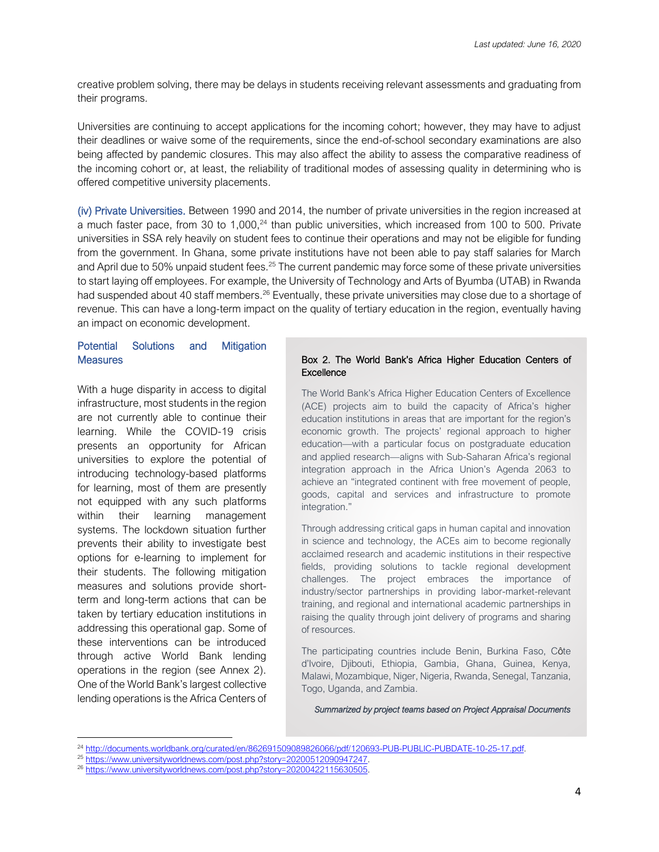creative problem solving, there may be delays in students receiving relevant assessments and graduating from their programs.

Universities are continuing to accept applications for the incoming cohort; however, they may have to adjust their deadlines or waive some of the requirements, since the end-of-school secondary examinations are also being affected by pandemic closures. This may also affect the ability to assess the comparative readiness of the incoming cohort or, at least, the reliability of traditional modes of assessing quality in determining who is offered competitive university placements.

(iv) Private Universities. Between 1990 and 2014, the number of private universities in the region increased at a much faster pace, from 30 to 1,000,<sup>24</sup> than public universities, which increased from 100 to 500. Private universities in SSA rely heavily on student fees to continue their operations and may not be eligible for funding from the government. In Ghana, some private institutions have not been able to pay staff salaries for March and April due to 50% unpaid student fees.<sup>25</sup> The current pandemic may force some of these private universities to start laying off employees. For example, the University of Technology and Arts of Byumba (UTAB) in Rwanda had suspended about 40 staff members.<sup>26</sup> Eventually, these private universities may close due to a shortage of revenue. This can have a long-term impact on the quality of tertiary education in the region, eventually having an impact on economic development.

#### Potential Solutions and Mitigation **Measures**

With a huge disparity in access to digital infrastructure, most students in the region are not currently able to continue their learning. While the COVID-19 crisis presents an opportunity for African universities to explore the potential of introducing technology-based platforms for learning, most of them are presently not equipped with any such platforms within their learning management systems. The lockdown situation further prevents their ability to investigate best options for e-learning to implement for their students. The following mitigation measures and solutions provide shortterm and long-term actions that can be taken by tertiary education institutions in addressing this operational gap. Some of these interventions can be introduced through active World Bank lending operations in the region (see Annex 2). One of the World Bank's largest collective lending operations is the Africa Centers of

#### Box 2. The World Bank's Africa Higher Education Centers of **Excellence**

The World Bank's Africa Higher Education Centers of Excellence (ACE) projects aim to build the capacity of Africa's higher education institutions in areas that are important for the region's economic growth. The projects' regional approach to higher education—with a particular focus on postgraduate education and applied research—aligns with Sub-Saharan Africa's regional integration approach in the Africa Union's Agenda 2063 to achieve an "integrated continent with free movement of people, goods, capital and services and infrastructure to promote integration."

Through addressing critical gaps in human capital and innovation in science and technology, the ACEs aim to become regionally acclaimed research and academic institutions in their respective fields, providing solutions to tackle regional development challenges. The project embraces the importance of industry/sector partnerships in providing labor-market-relevant training, and regional and international academic partnerships in raising the quality through joint delivery of programs and sharing of resources.

The participating countries include Benin, Burkina Faso, Côte d'Ivoire, Djibouti, Ethiopia, Gambia, Ghana, Guinea, Kenya, Malawi, Mozambique, Niger, Nigeria, Rwanda, Senegal, Tanzania, Togo, Uganda, and Zambia.

*Summarized by project teams based on Project Appraisal Documents* 

<sup>24</sup> [http://documents.worldbank.org/curated/en/862691509089826066/pdf/120693-PUB-PUBLIC-PUBDATE-10-25-17.pdf.](http://documents.worldbank.org/curated/en/862691509089826066/pdf/120693-PUB-PUBLIC-PUBDATE-10-25-17.pdf)

<sup>&</sup>lt;sup>25</sup> [https://www.universityworldnews.com/post.php?story=20200512090947247.](https://www.universityworldnews.com/post.php?story=20200512090947247)

<sup>&</sup>lt;sup>26</sup> [https://www.universityworldnews.com/post.php?story=20200422115630505.](https://www.universityworldnews.com/post.php?story=20200422115630505)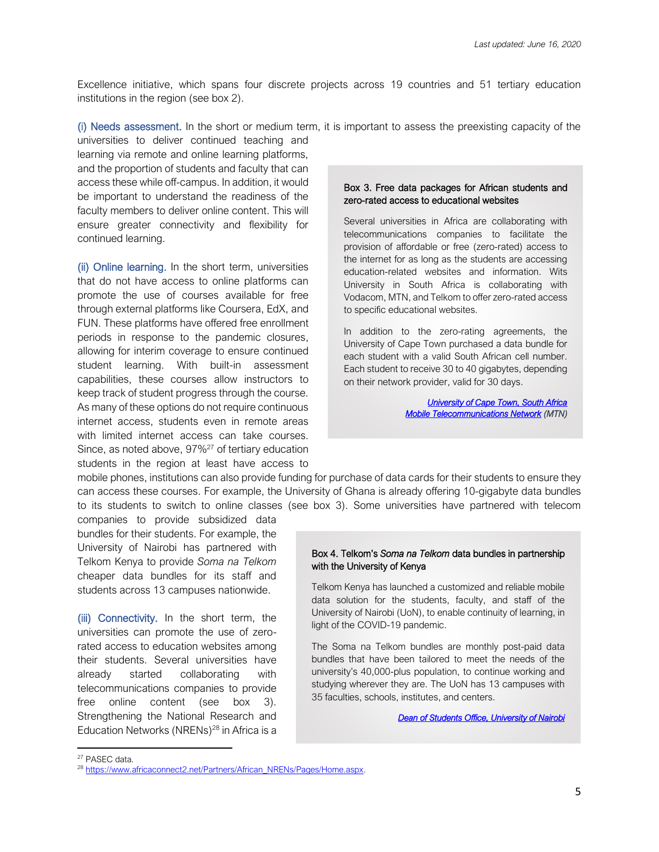Excellence initiative, which spans four discrete projects across 19 countries and 51 tertiary education institutions in the region (see box 2).

(i) Needs assessment. In the short or medium term, it is important to assess the preexisting capacity of the

universities to deliver continued teaching and learning via remote and online learning platforms, and the proportion of students and faculty that can access these while off-campus. In addition, it would be important to understand the readiness of the faculty members to deliver online content. This will ensure greater connectivity and flexibility for continued learning.

(ii) Online learning. In the short term, universities that do not have access to online platforms can promote the use of courses available for free through external platforms like Coursera, EdX, and FUN. These platforms have offered free enrollment periods in response to the pandemic closures, allowing for interim coverage to ensure continued student learning. With built-in assessment capabilities, these courses allow instructors to keep track of student progress through the course. As many of these options do not require continuous internet access, students even in remote areas with limited internet access can take courses. Since, as noted above, 97%<sup>27</sup> of tertiary education students in the region at least have access to

#### Box 3. Free data packages for African students and zero-rated access to educational websites

Several universities in Africa are collaborating with telecommunications companies to facilitate the provision of affordable or free (zero-rated) access to the internet for as long as the students are accessing education-related websites and information. Wits University in South Africa is collaborating with Vodacom, MTN, and Telkom to offer zero-rated access to specific educational websites.

In addition to the zero-rating agreements, the University of Cape Town purchased a data bundle for each student with a valid South African cell number. Each student to receive 30 to 40 gigabytes, depending on their network provider, valid for 30 days.

> *[University of Cape Town, South Africa](https://www.news.uct.ac.za/article/-2020-04-22-pre-paid-data-for-uct-students)  [Mobile Telecommunications Network](https://mtn.com.gh/personal/covid-19/) (MTN)*

mobile phones, institutions can also provide funding for purchase of data cards for their students to ensure they can access these courses. For example, the University of Ghana is already offering 10-gigabyte data bundles to its students to switch to online classes (see box 3). Some universities have partnered with telecom

companies to provide subsidized data bundles for their students. For example, the University of Nairobi has partnered with Telkom Kenya to provide *Soma na Telkom* cheaper data bundles for its staff and students across 13 campuses nationwide.

(iii) Connectivity. In the short term, the universities can promote the use of zerorated access to education websites among their students. Several universities have already started collaborating with telecommunications companies to provide free online content (see box 3). Strengthening the National Research and Education Networks (NRENs)<sup>28</sup> in Africa is a

#### Box 4. Telkom's *Soma na Telkom* data bundles in partnership with the University of Kenya

Telkom Kenya has launched a customized and reliable mobile data solution for the students, faculty, and staff of the University of Nairobi (UoN), to enable continuity of learning, in light of the COVID-19 pandemic.

The Soma na Telkom bundles are monthly post-paid data bundles that have been tailored to meet the needs of the university's 40,000-plus population, to continue working and studying wherever they are. The UoN has 13 campuses with 35 faculties, schools, institutes, and centers.

*[Dean of Students Office, University of Nairobi](https://studentlife.uonbi.ac.ke/latest-news/telkom-kenya-unveils-soma-na-telkom-bundles-partnership-university-nairobi)* 

<sup>27</sup> PASEC data.

<sup>&</sup>lt;sup>28</sup> [https://www.africaconnect2.net/Partners/African\\_NRENs/Pages/Home.aspx.](https://www.africaconnect2.net/Partners/African_NRENs/Pages/Home.aspx)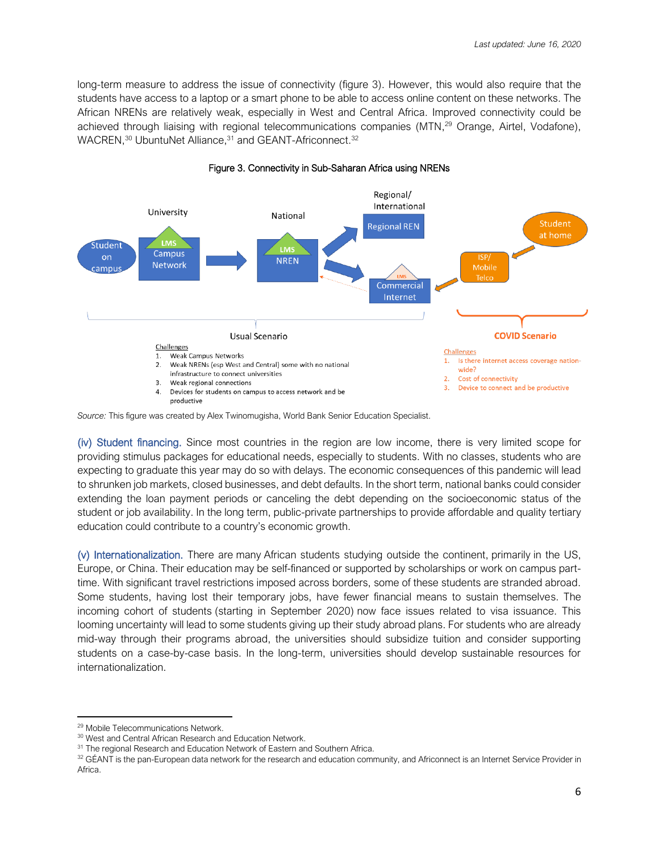long-term measure to address the issue of connectivity (figure 3). However, this would also require that the students have access to a laptop or a smart phone to be able to access online content on these networks. The African NRENs are relatively weak, especially in West and Central Africa. Improved connectivity could be achieved through liaising with regional telecommunications companies (MTN,<sup>29</sup> Orange, Airtel, Vodafone), WACREN,<sup>30</sup> UbuntuNet Alliance,<sup>31</sup> and GEANT-Africonnect.<sup>32</sup>



#### Figure 3. Connectivity in Sub-Saharan Africa using NRENs

*Source:* This figure was created by Alex Twinomugisha, World Bank Senior Education Specialist.

(iv) Student financing. Since most countries in the region are low income, there is very limited scope for providing stimulus packages for educational needs, especially to students. With no classes, students who are expecting to graduate this year may do so with delays. The economic consequences of this pandemic will lead to shrunken job markets, closed businesses, and debt defaults. In the short term, national banks could consider extending the loan payment periods or canceling the debt depending on the socioeconomic status of the student or job availability. In the long term, public-private partnerships to provide affordable and quality tertiary education could contribute to a country's economic growth.

(v) Internationalization. There are many African students studying outside the continent, primarily in the US, Europe, or China. Their education may be self-financed or supported by scholarships or work on campus parttime. With significant travel restrictions imposed across borders, some of these students are stranded abroad. Some students, having lost their temporary jobs, have fewer financial means to sustain themselves. The incoming cohort of students (starting in September 2020) now face issues related to visa issuance. This looming uncertainty will lead to some students giving up their study abroad plans. For students who are already mid-way through their programs abroad, the universities should subsidize tuition and consider supporting students on a case-by-case basis. In the long-term, universities should develop sustainable resources for internationalization.

<sup>29</sup> Mobile Telecommunications Network.

<sup>30</sup> West and Central African Research and Education Network.

<sup>&</sup>lt;sup>31</sup> The regional Research and Education Network of Eastern and Southern Africa.

<sup>32</sup> GÉANT is the pan-European data network for the research and education community, and Africonnect is an Internet Service Provider in Africa.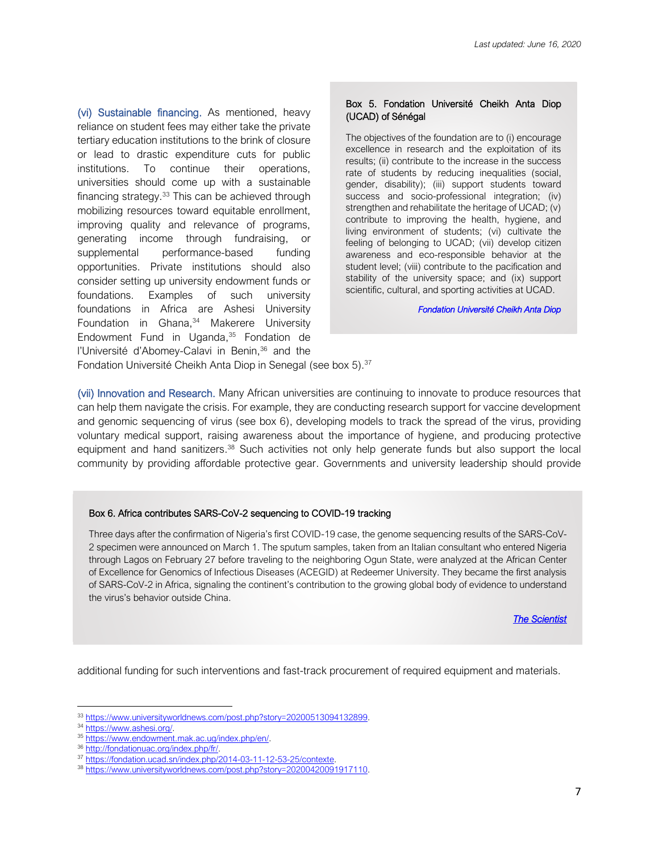(vi) Sustainable financing. As mentioned, heavy reliance on student fees may either take the private tertiary education institutions to the brink of closure or lead to drastic expenditure cuts for public institutions. To continue their operations, universities should come up with a sustainable financing strategy.<sup>33</sup> This can be achieved through mobilizing resources toward equitable enrollment, improving quality and relevance of programs, generating income through fundraising, or supplemental performance-based funding opportunities. Private institutions should also consider setting up university endowment funds or foundations. Examples of such university foundations in Africa are Ashesi University Foundation in Ghana, <sup>34</sup> Makerere University Endowment Fund in Uganda, <sup>35</sup> Fondation de l'Université d'Abomey-Calavi in Benin,<sup>36</sup> and the

#### Box 5. Fondation Université Cheikh Anta Diop (UCAD) of Sénégal

The objectives of the foundation are to (i) encourage excellence in research and the exploitation of its results; (ii) contribute to the increase in the success rate of students by reducing inequalities (social, gender, disability); (iii) support students toward success and socio-professional integration; (iv) strengthen and rehabilitate the heritage of UCAD; (v) contribute to improving the health, hygiene, and living environment of students; (vi) cultivate the feeling of belonging to UCAD; (vii) develop citizen awareness and eco-responsible behavior at the student level; (viii) contribute to the pacification and stability of the university space; and (ix) support scientific, cultural, and sporting activities at UCAD.

*[Fondation Université Cheikh Anta Diop](https://fondation.ucad.sn/index.php/2014-03-11-12-53-25/contexte)* 

Fondation Université Cheikh Anta Diop in Senegal (see box 5).<sup>37</sup>

(vii) Innovation and Research. Many African universities are continuing to innovate to produce resources that can help them navigate the crisis. For example, they are conducting research support for vaccine development and genomic sequencing of virus (see box 6), developing models to track the spread of the virus, providing voluntary medical support, raising awareness about the importance of hygiene, and producing protective equipment and hand sanitizers.<sup>38</sup> Such activities not only help generate funds but also support the local community by providing affordable protective gear. Governments and university leadership should provide

#### Box 6. Africa contributes SARS-CoV-2 sequencing to COVID-19 tracking

Three days after the confirmation of Nigeria's first COVID-19 case, the genome sequencing results of the SARS-CoV-2 specimen were announced on March 1. The sputum samples, taken from an Italian consultant who entered Nigeria through Lagos on February 27 before traveling to the neighboring Ogun State, were analyzed at the African Center of Excellence for Genomics of Infectious Diseases (ACEGID) at Redeemer University. They became the first analysis of SARS-CoV-2 in Africa, signaling the continent's contribution to the growing global body of evidence to understand the virus's behavior outside China.

*[The Scientist](https://www.the-scientist.com/news-opinion/africa-contributes-sars-cov-2-sequencing-to-covid-19-tracking-67348)* 

additional funding for such interventions and fast-track procurement of required equipment and materials.

<sup>33</sup> [https://www.universityworldnews.com/post.php?story=20200513094132899.](https://www.universityworldnews.com/post.php?story=20200513094132899)

<sup>34</sup> [https://www.ashesi.org/.](https://www.ashesi.org/)

<sup>35</sup> [https://www.endowment.mak.ac.ug/index.php/en/.](https://www.endowment.mak.ac.ug/index.php/en/)

<sup>36</sup> [http://fondationuac.org/index.php/fr/.](http://fondationuac.org/index.php/fr/)

<sup>&</sup>lt;sup>37</sup> [https://fondation.ucad.sn/index.php/2014-03-11-12-53-25/contexte.](https://fondation.ucad.sn/index.php/2014-03-11-12-53-25/contexte)

<sup>38</sup> [https://www.universityworldnews.com/post.php?story=20200420091917110.](https://www.universityworldnews.com/post.php?story=20200420091917110)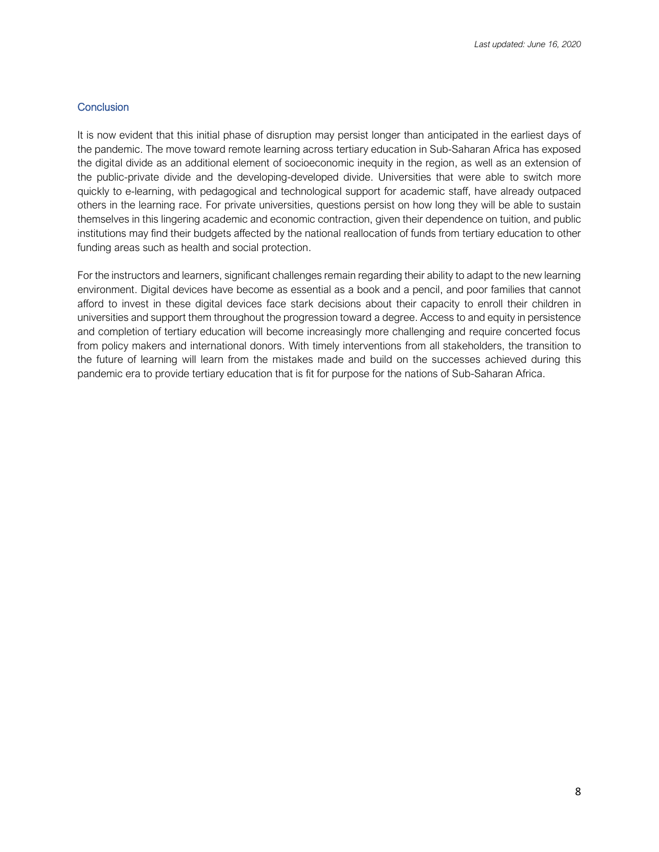### **Conclusion**

It is now evident that this initial phase of disruption may persist longer than anticipated in the earliest days of the pandemic. The move toward remote learning across tertiary education in Sub-Saharan Africa has exposed the digital divide as an additional element of socioeconomic inequity in the region, as well as an extension of the public-private divide and the developing-developed divide. Universities that were able to switch more quickly to e-learning, with pedagogical and technological support for academic staff, have already outpaced others in the learning race. For private universities, questions persist on how long they will be able to sustain themselves in this lingering academic and economic contraction, given their dependence on tuition, and public institutions may find their budgets affected by the national reallocation of funds from tertiary education to other funding areas such as health and social protection.

For the instructors and learners, significant challenges remain regarding their ability to adapt to the new learning environment. Digital devices have become as essential as a book and a pencil, and poor families that cannot afford to invest in these digital devices face stark decisions about their capacity to enroll their children in universities and support them throughout the progression toward a degree. Access to and equity in persistence and completion of tertiary education will become increasingly more challenging and require concerted focus from policy makers and international donors. With timely interventions from all stakeholders, the transition to the future of learning will learn from the mistakes made and build on the successes achieved during this pandemic era to provide tertiary education that is fit for purpose for the nations of Sub-Saharan Africa.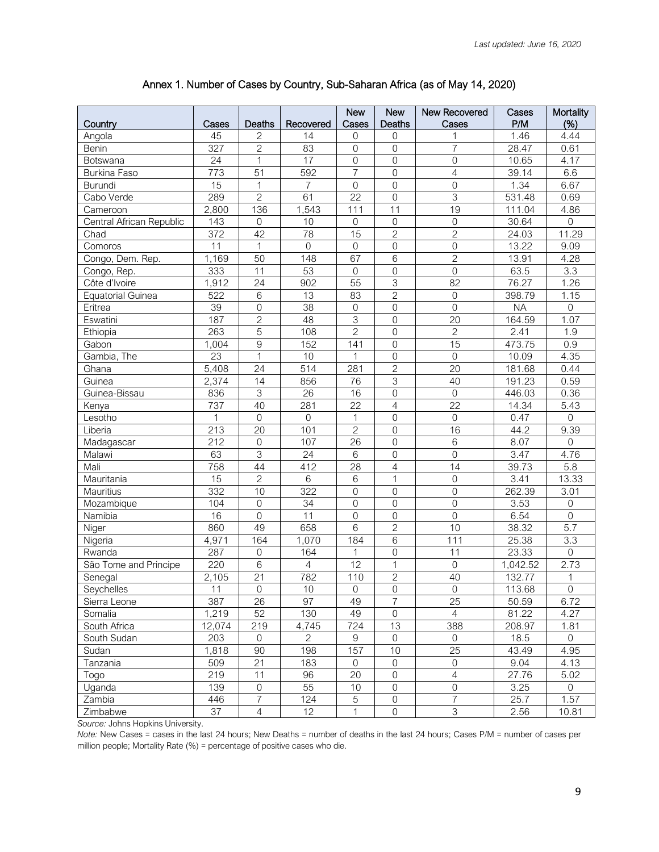|                          |                    |                 |                 | <b>New</b>          | <b>New</b>          | New Recovered             | Cases                | Mortality        |
|--------------------------|--------------------|-----------------|-----------------|---------------------|---------------------|---------------------------|----------------------|------------------|
| Country                  | Cases              | Deaths          | Recovered       | Cases               | Deaths              | Cases                     | P/M                  | (%)              |
| Angola                   | 45                 | $\overline{c}$  | 14              | $\overline{0}$      | 0                   |                           | 1.46                 | 4.44             |
| Benin                    | 327                | $\overline{c}$  | 83              | $\mathsf{O}\xspace$ | $\mathbf 0$         | $\overline{7}$            | 28.47                | 0.61             |
| Botswana                 | 24                 | $\mathbf{1}$    | 17              | $\mathbf 0$         | $\mathbf{0}$        | $\mathbf 0$               | 10.65                | 4.17             |
| Burkina Faso             | 773                | $\overline{51}$ | 592             | $\overline{7}$      | 0                   | $\overline{4}$            | 39.14                | 6.6              |
| <b>Burundi</b>           | 15                 | $\mathbf{1}$    | $\overline{7}$  | $\mathbf 0$         | $\boldsymbol{0}$    | $\mathbf 0$               | 1.34                 | 6.67             |
| Cabo Verde               | 289                | $\overline{2}$  | 61              | $\overline{22}$     | $\mathbf 0$         | $\overline{3}$            | $\overline{531}$ .48 | 0.69             |
| Cameroon                 | 2,800              | 136             | 1,543           | 111                 | 11                  | 19                        | 111.04               | 4.86             |
| Central African Republic | 143                | $\mathbf 0$     | 10              | $\mathbf 0$         | $\mathbf 0$         | $\mathbf 0$               | 30.64                | $\boldsymbol{0}$ |
| Chad                     | 372                | 42              | 78              | 15                  | $\overline{2}$      | $\overline{c}$            | 24.03                | 11.29            |
| Comoros                  | $\overline{11}$    | $\mathbf{1}$    | $\mathbf 0$     | $\mathbf 0$         | $\overline{0}$      | $\overline{0}$            | 13.22                | 9.09             |
| Congo, Dem. Rep.         | 1,169              | 50              | 148             | 67                  | 6                   | $\overline{2}$            | 13.91                | 4.28             |
| Congo, Rep.              | 333                | 11              | 53              | $\mathbf 0$         | $\mathbf 0$         | $\mathbf 0$               | 63.5                 | $\overline{3.3}$ |
| Côte d'Ivoire            | 1,912              | 24              | 902             | 55                  | 3                   | 82                        | 76.27                | 1.26             |
| <b>Equatorial Guinea</b> | 522                | 6               | 13              | 83                  | $\overline{2}$      | $\mathbf 0$               | 398.79               | 1.15             |
| Eritrea                  | 39                 | $\mathbf 0$     | $\overline{38}$ | $\mathsf{O}\xspace$ | $\boldsymbol{0}$    | $\overline{0}$            | <b>NA</b>            | $\boldsymbol{0}$ |
| Eswatini                 | 187                | $\overline{2}$  | 48              | $\overline{3}$      | $\boldsymbol{0}$    | $\overline{20}$           | 164.59               | 1.07             |
| Ethiopia                 | 263                | $\overline{5}$  | 108             | $\overline{2}$      | $\boldsymbol{0}$    | $\mathbf{2}$              | 2.41                 | 1.9              |
| Gabon                    | 1,004              | $\overline{9}$  | 152             | 141                 | $\mathbf 0$         | $\overline{15}$           | 473.75               | 0.9              |
| Gambia, The              | 23                 | $\mathbf{1}$    | 10              | $\mathbf{1}$        | $\mathbf 0$         | $\mathbf 0$               | 10.09                | 4.35             |
| Ghana                    | 5,408              | 24              | 514             | 281                 | $\overline{2}$      | $\overline{20}$           | 181.68               | 0.44             |
| Guinea                   | 2,374              | 14              | 856             | 76                  | $\overline{3}$      | 40                        | 191.23               | 0.59             |
| Guinea-Bissau            | 836                | $\overline{3}$  | 26              | 16                  | $\overline{0}$      | $\overline{0}$            | 446.03               | 0.36             |
| Kenya                    | 737                | 40              | 281             | $\overline{22}$     | $\overline{4}$      | $\overline{22}$           | 14.34                | 5.43             |
| Lesotho                  | 1                  | $\overline{0}$  | $\overline{0}$  | $\mathbf{1}$        | $\mathbf 0$         | $\mathbf 0$               | 0.47                 | $\overline{0}$   |
| Liberia                  | 213                | 20              | 101             | $\overline{c}$      | $\mathbf 0$         | 16                        | 44.2                 | 9.39             |
| Madagascar               | 212                | $\mathbf 0$     | 107             | 26                  | $\mathsf{O}\xspace$ | $\,6$                     | 8.07                 | $\boldsymbol{0}$ |
| Malawi                   | 63                 | $\overline{3}$  | 24              | 6                   | $\mathbf 0$         | $\mathbf 0$               | 3.47                 | 4.76             |
| Mali                     | 758                | 44              | 412             | 28                  | 4                   | 14                        | 39.73                | 5.8              |
| Mauritania               | 15                 | $\overline{2}$  | 6               | $\,6$               | $\mathbf 1$         | $\mathsf{O}\xspace$       | 3.41                 | 13.33            |
| Mauritius                | 332                | 10              | 322             | 0                   | $\mathbf 0$         | $\overline{0}$            | 262.39               | 3.01             |
| Mozambique               | 104                | $\overline{0}$  | 34              | $\overline{0}$      | $\overline{0}$      | $\overline{0}$            | 3.53                 | $\boldsymbol{0}$ |
| Namibia                  | 16                 | $\overline{0}$  | 11              | $\overline{0}$      | $\mathbf 0$         | $\overline{0}$            | 6.54                 | $\overline{0}$   |
| Niger                    | 860                | 49              | 658             | 6                   | $\overline{c}$      | 10                        | 38.32                | $\overline{5.7}$ |
| Nigeria                  | $\overline{4,971}$ | 164             | 1,070           | 184                 | 6                   | 111                       | 25.38                | 3.3              |
| Rwanda                   | 287                | $\mathbf 0$     | 164             | 1                   | 0                   | 11                        | 23.33                | $\overline{0}$   |
| São Tome and Principe    | 220                | 6               | $\overline{4}$  | 12                  | 1                   | $\mathbf 0$               | 1,042.52             | 2.73             |
| Senegal                  | 2,105              | $\overline{21}$ | 782             | 110                 | $\overline{2}$      | 40                        | 132.77               | 1                |
| Seychelles               | 11                 | U               | 10              | U                   | $\overline{0}$      | $\mathbf 0$               | 113.68               | $\overline{0}$   |
| Sierra Leone             | 387                | 26              | 97              | 49                  | $\overline{7}$      | 25                        | 50.59                | 6.72             |
| Somalia                  | 1,219              | 52              | 130             | 49                  | 0                   | $\overline{4}$            | 81.22                | 4.27             |
| South Africa             | 12,074             | 219             | 4,745           | 724                 | 13                  | 388                       | 208.97               | 1.81             |
| South Sudan              | 203                | $\mathbf 0$     | $\overline{2}$  | $\mathsf 9$         | $\mathbf 0$         | $\overline{0}$            | 18.5                 | $\overline{0}$   |
| Sudan                    | 1,818              | 90              | 198             | 157                 | 10                  | 25                        | 43.49                | 4.95             |
| Tanzania                 | 509                | 21              | 183             | $\overline{0}$      | $\mathsf{O}\xspace$ | $\mathsf{O}\xspace$       | 9.04                 | 4.13             |
| Togo                     | 219                | 11              | 96              | 20                  | $\mathsf{O}\xspace$ | $\overline{4}$            | 27.76                | 5.02             |
| Uganda                   | 139                | 0               | 55              | 10                  | $\overline{0}$      | $\boldsymbol{0}$          | 3.25                 | $\overline{0}$   |
| Zambia                   | 446                | $\overline{7}$  | 124             | $\mathbf 5$         | $\boldsymbol{0}$    | $\overline{7}$            | 25.7                 | 1.57             |
| Zimbabwe                 | 37                 | $\overline{4}$  | 12              | $\mathbf{1}$        | $\boldsymbol{0}$    | $\ensuremath{\mathsf{3}}$ | 2.56                 | 10.81            |
|                          |                    |                 |                 |                     |                     |                           |                      |                  |

# Annex 1. Number of Cases by Country, Sub-Saharan Africa (as of May 14, 2020)

*Source:* Johns Hopkins University.

*Note:* New Cases = cases in the last 24 hours; New Deaths = number of deaths in the last 24 hours; Cases P/M = number of cases per million people; Mortality Rate (%) = percentage of positive cases who die.